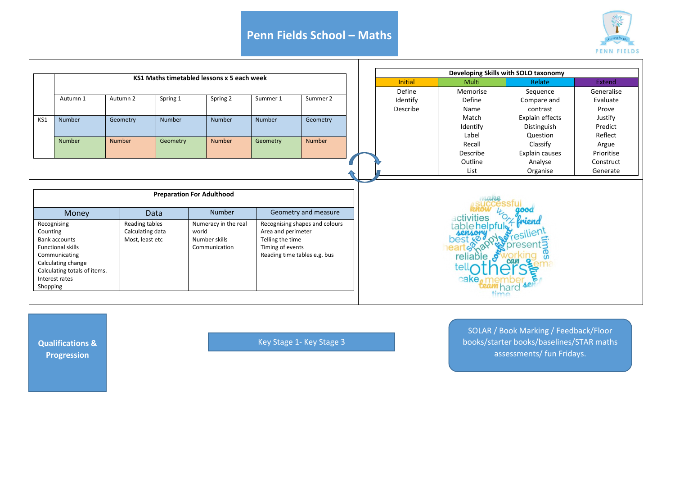## **Penn Fields School – Maths**



|                                  |                                     |                  |                              |                                            |                                |          |                | Developing Skills with SOLO taxonomy |          |                 |            |  |  |
|----------------------------------|-------------------------------------|------------------|------------------------------|--------------------------------------------|--------------------------------|----------|----------------|--------------------------------------|----------|-----------------|------------|--|--|
|                                  |                                     |                  |                              | KS1 Maths timetabled lessons x 5 each week |                                |          |                |                                      |          |                 |            |  |  |
|                                  |                                     |                  |                              |                                            |                                |          | <b>Initial</b> | Multi                                | Relate   | Extend          |            |  |  |
|                                  | Autumn 1                            | Autumn 2         | Spring 1                     | Spring 2                                   | Summer 1                       | Summer 2 |                | Define                               | Memorise | Sequence        | Generalise |  |  |
|                                  |                                     |                  |                              |                                            |                                |          |                | Identify                             | Define   | Compare and     | Evaluate   |  |  |
|                                  |                                     |                  |                              |                                            |                                |          |                | Describe                             | Name     | contrast        | Prove      |  |  |
| KS1                              | Number                              | Geometry         | Number                       | Number                                     | <b>Number</b>                  | Geometry |                |                                      | Match    | Explain effects | Justify    |  |  |
|                                  |                                     |                  |                              |                                            |                                |          |                |                                      | Identify | Distinguish     | Predict    |  |  |
|                                  | Number                              | Number           | Geometry                     | <b>Number</b>                              | Geometry                       | Number   |                |                                      | Label    | Question        | Reflect    |  |  |
|                                  |                                     |                  |                              |                                            |                                |          |                |                                      | Recall   | Classify        | Argue      |  |  |
|                                  |                                     |                  |                              |                                            |                                |          |                |                                      | Describe | Explain causes  | Prioritise |  |  |
|                                  |                                     |                  |                              |                                            |                                |          |                | Outline                              | Analyse  | Construct       |            |  |  |
|                                  |                                     |                  |                              |                                            |                                |          |                | List                                 | Organise | Generate        |            |  |  |
| <b>Preparation For Adulthood</b> |                                     |                  |                              |                                            |                                |          |                |                                      |          |                 |            |  |  |
| Money                            |                                     |                  | Data                         | <b>Number</b>                              | Geometry and measure           |          |                |                                      |          |                 |            |  |  |
| Recognising                      |                                     | Reading tables   |                              | Numeracy in the real                       | Recognising shapes and colours |          |                |                                      |          |                 |            |  |  |
| Counting                         |                                     | Calculating data |                              | world                                      | Area and perimeter             |          |                |                                      |          |                 |            |  |  |
| <b>Bank accounts</b>             |                                     | Most, least etc  |                              | Number skills                              | Telling the time               |          |                |                                      |          |                 |            |  |  |
| <b>Functional skills</b>         |                                     |                  |                              | Communication                              | Timing of events               |          |                |                                      |          |                 |            |  |  |
|                                  | Communicating<br>Calculating change |                  | Reading time tables e.g. bus |                                            |                                |          |                | reliable                             |          |                 |            |  |  |
|                                  | Calculating totals of items.        |                  |                              |                                            |                                |          |                |                                      |          |                 |            |  |  |
|                                  | Interest rates                      |                  |                              |                                            |                                |          |                |                                      |          |                 |            |  |  |
| Shopping                         |                                     |                  |                              |                                            |                                |          |                |                                      |          |                 |            |  |  |
|                                  |                                     |                  |                              |                                            |                                |          |                |                                      |          |                 |            |  |  |

**Qualifications & Progression** 

Key Stage 1- Key Stage 3

SOLAR / Book Marking / Feedback/Floor books/starter books/baselines/STAR maths assessments/ fun Fridays.